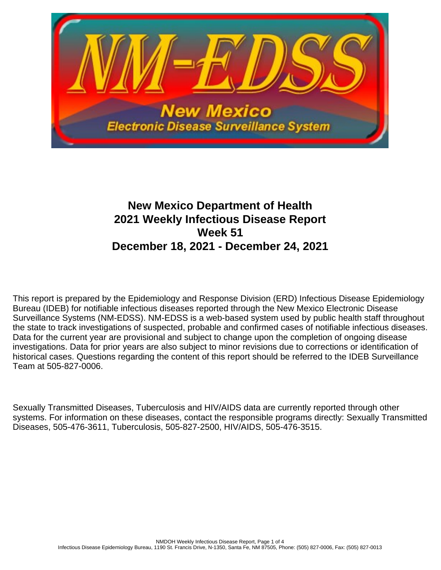

# **New Mexico Department of Health 2021 Weekly Infectious Disease Report Week 51 December 18, 2021 - December 24, 2021**

This report is prepared by the Epidemiology and Response Division (ERD) Infectious Disease Epidemiology Bureau (IDEB) for notifiable infectious diseases reported through the New Mexico Electronic Disease Surveillance Systems (NM-EDSS). NM-EDSS is a web-based system used by public health staff throughout the state to track investigations of suspected, probable and confirmed cases of notifiable infectious diseases. Data for the current year are provisional and subject to change upon the completion of ongoing disease investigations. Data for prior years are also subject to minor revisions due to corrections or identification of historical cases. Questions regarding the content of this report should be referred to the IDEB Surveillance Team at 505-827-0006.

Sexually Transmitted Diseases, Tuberculosis and HIV/AIDS data are currently reported through other systems. For information on these diseases, contact the responsible programs directly: Sexually Transmitted Diseases, 505-476-3611, Tuberculosis, 505-827-2500, HIV/AIDS, 505-476-3515.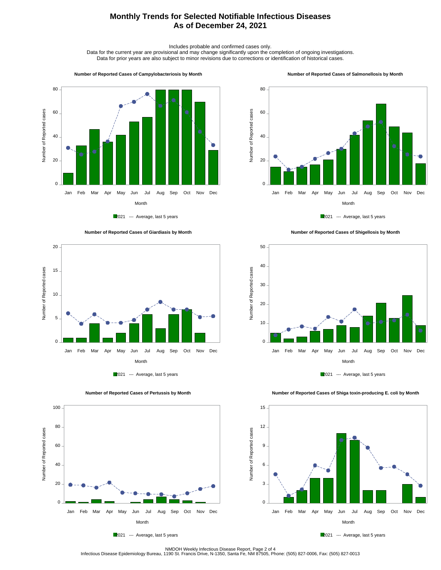## **Monthly Trends for Selected Notifiable Infectious Diseases As of December 24, 2021**

Includes probable and confirmed cases only.

Data for the current year are provisional and may change significantly upon the completion of ongoing investigations. Data for prior years are also subject to minor revisions due to corrections or identification of historical cases.

#### **Number of Reported Cases of Campylobacteriosis by Month**



2021 --- Average, last 5 years





 **Number of Reported Cases of Pertussis by Month**

Number of Reported cases

Number of Reported cases

 $0 -$ 

20

40

60

80

100

2021 --- Average, last 5 years

Month Jan Feb Mar Apr May Jun Jul Aug Sep Oct Nov Dec





2021 --- Average, last 5 years







NMDOH Weekly Infectious Disease Report, Page 2 of 4<br>Infectious Disease Epidemiology Bureau, 1190 St. Francis Drive, N-1350, Santa Fe, NM 87505, Phone: (505) 827-0006, Fax: (505) 827-0013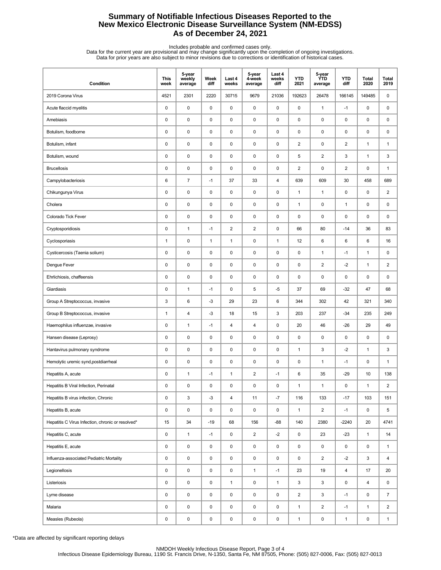## **Summary of Notifiable Infectious Diseases Reported to the New Mexico Electronic Disease Surveillance System (NM-EDSS) As of December 24, 2021**

Includes probable and confirmed cases only.<br>Data for the current year are provisional and may change significantly upon the completion of ongoing investigations.<br>Data for prior years are also subject to minor revisions due

| Condition                                         | <b>This</b><br>week | 5-year<br>weekly<br>average | Week<br>diff | Last 4<br>weeks | 5-year<br>4-week<br>average | Last 4<br>weeks<br>diff | <b>YTD</b><br>2021 | 5-year<br><b>YTD</b><br>average | <b>YTD</b><br>diff | Total<br>2020 | Total<br>2019  |
|---------------------------------------------------|---------------------|-----------------------------|--------------|-----------------|-----------------------------|-------------------------|--------------------|---------------------------------|--------------------|---------------|----------------|
| 2019 Corona Virus                                 | 4521                | 2301                        | 2220         | 30715           | 9679                        | 21036                   | 192623             | 26478                           | 166145             | 149485        | 0              |
| Acute flaccid myelitis                            | 0                   | $\pmb{0}$                   | $\mathsf 0$  | $\pmb{0}$       | $\mathsf 0$                 | $\mathsf 0$             | $\pmb{0}$          | $\mathbf{1}$                    | $-1$               | 0             | 0              |
| Amebiasis                                         | 0                   | $\pmb{0}$                   | 0            | $\mathbf 0$     | 0                           | 0                       | 0                  | $\pmb{0}$                       | 0                  | 0             | 0              |
| Botulism, foodborne                               | 0                   | $\mathbf 0$                 | 0            | $\mathbf 0$     | $\pmb{0}$                   | 0                       | 0                  | 0                               | 0                  | 0             | 0              |
| Botulism, infant                                  | 0                   | $\pmb{0}$                   | 0            | $\mathbf 0$     | $\pmb{0}$                   | $\mathsf 0$             | $\overline{2}$     | $\pmb{0}$                       | $\overline{2}$     | $\mathbf{1}$  | $\mathbf{1}$   |
| Botulism, wound                                   | 0                   | $\pmb{0}$                   | 0            | $\mathbf 0$     | $\pmb{0}$                   | $\mathsf 0$             | 5                  | $\overline{2}$                  | 3                  | $\mathbf{1}$  | 3              |
| <b>Brucellosis</b>                                | 0                   | $\pmb{0}$                   | $\mathsf 0$  | $\mathbf 0$     | $\pmb{0}$                   | $\pmb{0}$               | $\overline{2}$     | 0                               | 2                  | 0             | $\mathbf{1}$   |
| Campylobacteriosis                                | 6                   | $\overline{7}$              | $-1$         | 37              | 33                          | $\overline{\mathbf{4}}$ | 639                | 609                             | 30                 | 458           | 689            |
| Chikungunya Virus                                 | 0                   | $\pmb{0}$                   | 0            | $\mathbf 0$     | $\pmb{0}$                   | 0                       | $\mathbf{1}$       | $\mathbf{1}$                    | 0                  | 0             | 2              |
| Cholera                                           | 0                   | $\pmb{0}$                   | 0            | $\mathbf 0$     | $\pmb{0}$                   | $\mathsf 0$             | $\mathbf{1}$       | $\pmb{0}$                       | $\mathbf{1}$       | 0             | 0              |
| Colorado Tick Fever                               | 0                   | $\pmb{0}$                   | 0            | $\mathbf 0$     | $\pmb{0}$                   | $\mathsf 0$             | 0                  | $\pmb{0}$                       | 0                  | 0             | 0              |
| Cryptosporidiosis                                 | 0                   | $\mathbf{1}$                | $-1$         | $\sqrt{2}$      | $\overline{\mathbf{c}}$     | $\mathsf 0$             | 66                 | 80                              | $-14$              | 36            | 83             |
| Cyclosporiasis                                    | $\mathbf{1}$        | $\pmb{0}$                   | $\mathbf{1}$ | $\mathbf{1}$    | 0                           | $\mathbf{1}$            | 12                 | 6                               | 6                  | 6             | 16             |
| Cysticercosis (Taenia solium)                     | 0                   | $\pmb{0}$                   | 0            | 0               | $\pmb{0}$                   | 0                       | 0                  | $\mathbf{1}$                    | $-1$               | $\mathbf{1}$  | 0              |
| Dengue Fever                                      | 0                   | $\pmb{0}$                   | 0            | $\mathbf 0$     | $\pmb{0}$                   | 0                       | 0                  | $\overline{\mathbf{c}}$         | $-2$               | $\mathbf{1}$  | $\overline{c}$ |
| Ehrlichiosis, chaffeensis                         | 0                   | $\pmb{0}$                   | 0            | $\mathbf 0$     | $\pmb{0}$                   | 0                       | 0                  | $\pmb{0}$                       | 0                  | 0             | 0              |
| Giardiasis                                        | $\pmb{0}$           | $\mathbf{1}$                | $-1$         | $\mathbf 0$     | 5                           | $-5$                    | 37                 | 69                              | $-32$              | 47            | 68             |
| Group A Streptococcus, invasive                   | 3                   | 6                           | $-3$         | 29              | 23                          | 6                       | 344                | 302                             | 42                 | 321           | 340            |
| Group B Streptococcus, invasive                   | $\mathbf{1}$        | 4                           | -3           | 18              | 15                          | 3                       | 203                | 237                             | $-34$              | 235           | 249            |
| Haemophilus influenzae, invasive                  | 0                   | $\mathbf{1}$                | $-1$         | 4               | 4                           | 0                       | 20                 | 46                              | $-26$              | 29            | 49             |
| Hansen disease (Leprosy)                          | 0                   | $\pmb{0}$                   | 0            | $\mathbf 0$     | 0                           | $\mathsf 0$             | 0                  | $\pmb{0}$                       | 0                  | 0             | 0              |
| Hantavirus pulmonary syndrome                     | $\pmb{0}$           | $\pmb{0}$                   | $\mathsf 0$  | $\pmb{0}$       | $\pmb{0}$                   | $\mathsf 0$             | $\mathbf{1}$       | 3                               | $-2$               | $\mathbf{1}$  | 3              |
| Hemolytic uremic synd, postdiarrheal              | 0                   | $\mathbf 0$                 | 0            | $\mathbf 0$     | 0                           | 0                       | 0                  | $\mathbf{1}$                    | $-1$               | 0             | $\mathbf{1}$   |
| Hepatitis A, acute                                | 0                   | $\mathbf{1}$                | $-1$         | $\mathbf{1}$    | 2                           | $-1$                    | 6                  | 35                              | $-29$              | 10            | 138            |
| Hepatitis B Viral Infection, Perinatal            | 0                   | $\mathbf 0$                 | $\pmb{0}$    | $\mathbf 0$     | 0                           | 0                       | $\mathbf{1}$       | $\mathbf{1}$                    | 0                  | $\mathbf{1}$  | $\overline{2}$ |
| Hepatitis B virus infection, Chronic              | 0                   | $\mathsf 3$                 | $-3$         | 4               | 11                          | $-7$                    | 116                | 133                             | $-17$              | 103           | 151            |
| Hepatitis B, acute                                | 0                   | $\pmb{0}$                   | $\pmb{0}$    | $\pmb{0}$       | 0                           | $\pmb{0}$               | $\mathbf{1}$       | $\overline{\mathbf{c}}$         | $-1$               | 0             | 5              |
| Hepatitis C Virus Infection, chronic or resolved* | 15                  | 34                          | $-19$        | 68              | 156                         | $-88$                   | 140                | 2380                            | $-2240$            | 20            | 4741           |
| Hepatitis C, acute                                | 0                   | $\mathbf{1}$                | $-1$         | 0               | $\overline{2}$              | $-2$                    | 0                  | 23                              | $-23$              | $\mathbf{1}$  | 14             |
| Hepatitis E, acute                                | 0                   | $\pmb{0}$                   | 0            | 0               | 0                           | 0                       | 0                  | 0                               | 0                  | 0             | $\mathbf{1}$   |
| Influenza-associated Pediatric Mortality          | 0                   | $\pmb{0}$                   | $\mathsf 0$  | $\pmb{0}$       | $\pmb{0}$                   | $\mathsf 0$             | 0                  | $\overline{a}$                  | $-2$               | 3             | 4              |
| Legionellosis                                     | 0                   | $\pmb{0}$                   | $\pmb{0}$    | $\pmb{0}$       | $\mathbf{1}$                | $-1$                    | 23                 | 19                              | 4                  | 17            | 20             |
| Listeriosis                                       | 0                   | $\pmb{0}$                   | $\pmb{0}$    | $\mathbf{1}$    | $\pmb{0}$                   | $\mathbf{1}$            | 3                  | 3                               | 0                  | 4             | 0              |
| Lyme disease                                      | 0                   | $\pmb{0}$                   | 0            | $\pmb{0}$       | 0                           | 0                       | $\overline{2}$     | 3                               | $-1$               | 0             | $\overline{7}$ |
| Malaria                                           | 0                   | $\pmb{0}$                   | 0            | 0               | 0                           | 0                       | $\mathbf{1}$       | $\overline{2}$                  | $-1$               | $\mathbf{1}$  | $\overline{2}$ |
| Measles (Rubeola)                                 | 0                   | $\pmb{0}$                   | 0            | $\pmb{0}$       | 0                           | $\pmb{0}$               | $\mathbf{1}$       | 0                               | $\mathbf{1}$       | 0             | $\mathbf{1}$   |

\*Data are affected by significant reporting delays